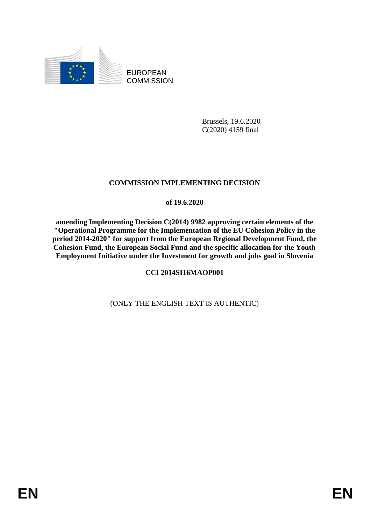

EUROPEAN **COMMISSION** 

> Brussels, 19.6.2020 C(2020) 4159 final

# **COMMISSION IMPLEMENTING DECISION**

#### **of 19.6.2020**

**amending Implementing Decision C(2014) 9982 approving certain elements of the "Operational Programme for the Implementation of the EU Cohesion Policy in the period 2014-2020" for support from the European Regional Development Fund, the Cohesion Fund, the European Social Fund and the specific allocation for the Youth Employment Initiative under the Investment for growth and jobs goal in Slovenia**

### **CCI 2014SI16MAOP001**

### (ONLY THE ENGLISH TEXT IS AUTHENTIC)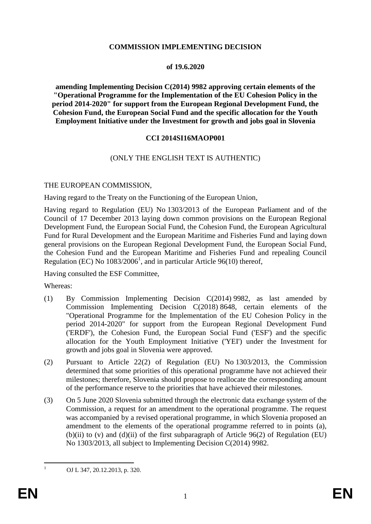#### **COMMISSION IMPLEMENTING DECISION**

#### **of 19.6.2020**

**amending Implementing Decision C(2014) 9982 approving certain elements of the "Operational Programme for the Implementation of the EU Cohesion Policy in the period 2014-2020" for support from the European Regional Development Fund, the Cohesion Fund, the European Social Fund and the specific allocation for the Youth Employment Initiative under the Investment for growth and jobs goal in Slovenia**

#### **CCI 2014SI16MAOP001**

#### (ONLY THE ENGLISH TEXT IS AUTHENTIC)

#### THE EUROPEAN COMMISSION,

Having regard to the Treaty on the Functioning of the European Union,

Having regard to Regulation (EU) No 1303/2013 of the European Parliament and of the Council of 17 December 2013 laying down common provisions on the European Regional Development Fund, the European Social Fund, the Cohesion Fund, the European Agricultural Fund for Rural Development and the European Maritime and Fisheries Fund and laying down general provisions on the European Regional Development Fund, the European Social Fund, the Cohesion Fund and the European Maritime and Fisheries Fund and repealing Council Regulation (EC) No  $1083/2006<sup>1</sup>$ , and in particular Article 96(10) thereof,

Having consulted the ESF Committee,

Whereas:

- (1) By Commission Implementing Decision C(2014) 9982, as last amended by Commission Implementing Decision C(2018) 8648, certain elements of the "Operational Programme for the Implementation of the EU Cohesion Policy in the period 2014-2020" for support from the European Regional Development Fund ('ERDF'), the Cohesion Fund, the European Social Fund ('ESF') and the specific allocation for the Youth Employment Initiative ('YEI') under the Investment for growth and jobs goal in Slovenia were approved.
- (2) Pursuant to Article 22(2) of Regulation (EU) No 1303/2013, the Commission determined that some priorities of this operational programme have not achieved their milestones; therefore, Slovenia should propose to reallocate the corresponding amount of the performance reserve to the priorities that have achieved their milestones.
- (3) On 5 June 2020 Slovenia submitted through the electronic data exchange system of the Commission, a request for an amendment to the operational programme. The request was accompanied by a revised operational programme, in which Slovenia proposed an amendment to the elements of the operational programme referred to in points (a), (b)(ii) to (v) and (d)(ii) of the first subparagraph of Article 96(2) of Regulation (EU) No 1303/2013, all subject to Implementing Decision C(2014) 9982.

 $\mathbf{1}$ 

<sup>1</sup> OJ L 347, 20.12.2013, p. 320.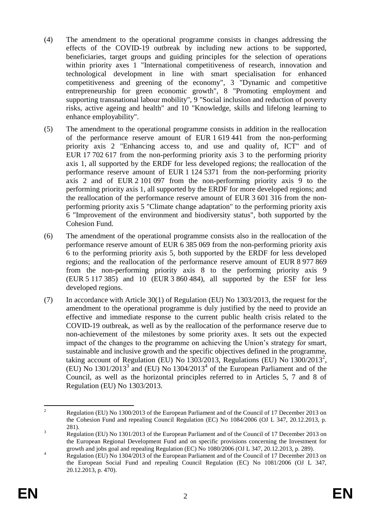- (4) The amendment to the operational programme consists in changes addressing the effects of the COVID-19 outbreak by including new actions to be supported, beneficiaries, target groups and guiding principles for the selection of operations within priority axes 1 "International competitiveness of research, innovation and technological development in line with smart specialisation for enhanced competitiveness and greening of the economy", 3 "Dynamic and competitive entrepreneurship for green economic growth", 8 "Promoting employment and supporting transnational labour mobility", 9 "Social inclusion and reduction of poverty risks, active ageing and health" and 10 "Knowledge, skills and lifelong learning to enhance employability".
- (5) The amendment to the operational programme consists in addition in the reallocation of the performance reserve amount of EUR 1 619 441 from the non-performing priority axis 2 "Enhancing access to, and use and quality of, ICT" and of EUR 17 702 617 from the non-performing priority axis 3 to the performing priority axis 1, all supported by the ERDF for less developed regions; the reallocation of the performance reserve amount of EUR 1 124 5371 from the non-performing priority axis 2 and of EUR 2 101 097 from the non-performing priority axis 9 to the performing priority axis 1, all supported by the ERDF for more developed regions; and the reallocation of the performance reserve amount of EUR 3 601 316 from the nonperforming priority axis 5 "Climate change adaptation" to the performing priority axis 6 "Improvement of the environment and biodiversity status", both supported by the Cohesion Fund.
- (6) The amendment of the operational programme consists also in the reallocation of the performance reserve amount of EUR 6 385 069 from the non-performing priority axis 6 to the performing priority axis 5, both supported by the ERDF for less developed regions; and the reallocation of the performance reserve amount of EUR 8 977 869 from the non-performing priority axis 8 to the performing priority axis 9 (EUR 5 117 385) and 10 (EUR 3 860 484), all supported by the ESF for less developed regions.
- (7) In accordance with Article 30(1) of Regulation (EU) No 1303/2013, the request for the amendment to the operational programme is duly justified by the need to provide an effective and immediate response to the current public health crisis related to the COVID-19 outbreak, as well as by the reallocation of the performance reserve due to non-achievement of the milestones by some priority axes. It sets out the expected impact of the changes to the programme on achieving the Union's strategy for smart, sustainable and inclusive growth and the specific objectives defined in the programme, taking account of Regulation (EU) No  $1303/2013$ , Regulations (EU) No  $1300/2013^2$ ,  $(EU)$  No 1301/2013<sup>3</sup> and  $(EU)$  No 1304/2013<sup>4</sup> of the European Parliament and of the Council, as well as the horizontal principles referred to in Articles 5, 7 and 8 of Regulation (EU) No 1303/2013.

 $\overline{c}$ <sup>2</sup> Regulation (EU) No 1300/2013 of the European Parliament and of the Council of 17 December 2013 on the Cohesion Fund and repealing Council Regulation (EC) No 1084/2006 (OJ L 347, 20.12.2013, p. 281).

<sup>&</sup>lt;sup>3</sup> Regulation (EU) No 1301/2013 of the European Parliament and of the Council of 17 December 2013 on the European Regional Development Fund and on specific provisions concerning the Investment for growth and jobs goal and repealing Regulation (EC) No 1080/2006 (OJ L 347, 20.12.2013, p. 289).

<sup>&</sup>lt;sup>4</sup><br>Regulation (EU) No 1304/2013 of the European Parliament and of the Council of 17 December 2013 on the European Social Fund and repealing Council Regulation (EC) No 1081/2006 (OJ L 347, 20.12.2013, p. 470).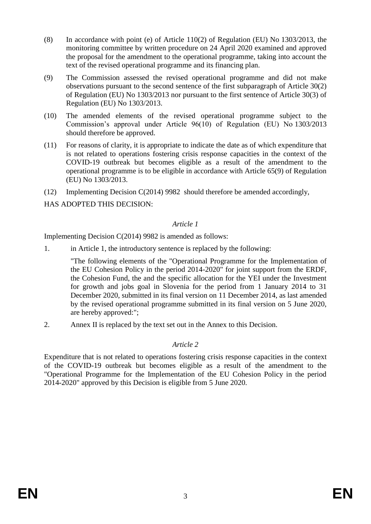- (8) In accordance with point (e) of Article 110(2) of Regulation (EU) No 1303/2013, the monitoring committee by written procedure on 24 April 2020 examined and approved the proposal for the amendment to the operational programme, taking into account the text of the revised operational programme and its financing plan.
- (9) The Commission assessed the revised operational programme and did not make observations pursuant to the second sentence of the first subparagraph of Article 30(2) of Regulation (EU) No 1303/2013 nor pursuant to the first sentence of Article 30(3) of Regulation (EU) No 1303/2013.
- (10) The amended elements of the revised operational programme subject to the Commission's approval under Article 96(10) of Regulation (EU) No 1303/2013 should therefore be approved.
- (11) For reasons of clarity, it is appropriate to indicate the date as of which expenditure that is not related to operations fostering crisis response capacities in the context of the COVID-19 outbreak but becomes eligible as a result of the amendment to the operational programme is to be eligible in accordance with Article 65(9) of Regulation (EU) No 1303/2013.
- (12) Implementing Decision C(2014) 9982 should therefore be amended accordingly,

HAS ADOPTED THIS DECISION:

#### *Article 1*

Implementing Decision C(2014) 9982 is amended as follows:

1. in Article 1, the introductory sentence is replaced by the following:

"The following elements of the "Operational Programme for the Implementation of the EU Cohesion Policy in the period 2014-2020" for joint support from the ERDF, the Cohesion Fund, the and the specific allocation for the YEI under the Investment for growth and jobs goal in Slovenia for the period from 1 January 2014 to 31 December 2020, submitted in its final version on 11 December 2014, as last amended by the revised operational programme submitted in its final version on 5 June 2020, are hereby approved:";

2. Annex II is replaced by the text set out in the Annex to this Decision.

### *Article 2*

Expenditure that is not related to operations fostering crisis response capacities in the context of the COVID-19 outbreak but becomes eligible as a result of the amendment to the "Operational Programme for the Implementation of the EU Cohesion Policy in the period 2014-2020" approved by this Decision is eligible from 5 June 2020.